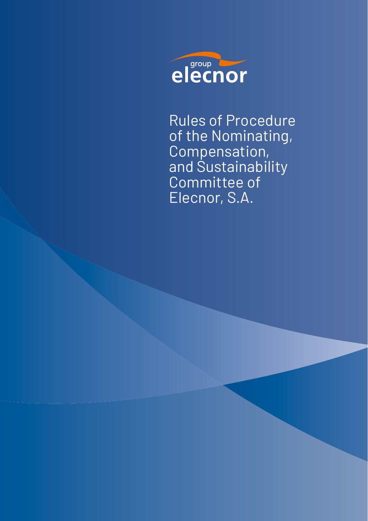

Rules of Procedure of the Nominating, Compensation, and Sustainability Committee of Elecnor, S.A.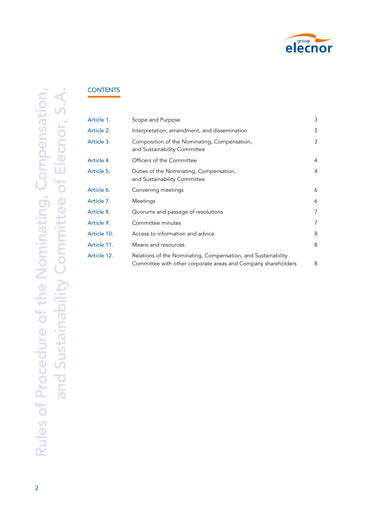

# **CONTENTS**

| Article 1.  | Scope and Purpose                                                                                                              | 3 |
|-------------|--------------------------------------------------------------------------------------------------------------------------------|---|
| Article 2.  | Interpretation, amendment, and dissemination                                                                                   | 3 |
| Article 3.  | Composition of the Nominating, Compensation,<br>and Sustainability Committee                                                   | 3 |
| Article 4.  | Officers of the Committee                                                                                                      | 4 |
| Article 5.  | Duties of the Nominating, Compensation,<br>and Sustainability Committee                                                        | 4 |
| Article 6.  | Convening meetings                                                                                                             | 6 |
| Article 7.  | Meetings                                                                                                                       | 6 |
| Article 8.  | Quorums and passage of resolutions                                                                                             | 7 |
| Article 9.  | Committee minutes                                                                                                              | 7 |
| Article 10. | Access to information and advice                                                                                               | 8 |
| Article 11. | Means and resources                                                                                                            | 8 |
| Article 12. | Relations of the Nominating, Compensation, and Sustainability<br>Committee with other corporate areas and Company shareholders | 8 |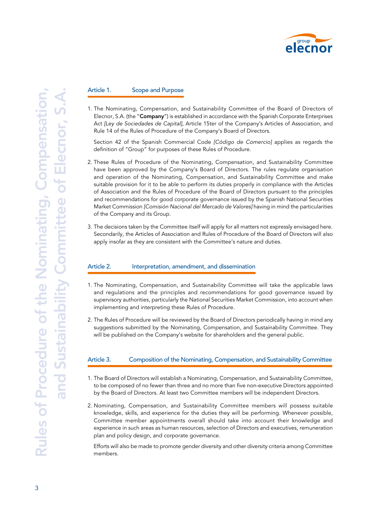

#### Article 1. Scope and Purpose

1. The Nominating, Compensation, and Sustainability Committee of the Board of Directors of Elecnor, S.A. (the "Company") is established in accordance with the Spanish Corporate Enterprises Act *[Ley de Sociedades de Capital]*, Article 15ter of the Company's Articles of Association, and Rule 14 of the Rules of Procedure of the Company's Board of Directors.

Section 42 of the Spanish Commercial Code *[Código de Comercio]* applies as regards the definition of "Group" for purposes of these Rules of Procedure.

- 2. These Rules of Procedure of the Nominating, Compensation, and Sustainability Committee have been approved by the Company's Board of Directors. The rules regulate organisation and operation of the Nominating, Compensation, and Sustainability Committee and make suitable provision for it to be able to perform its duties properly in compliance with the Articles of Association and the Rules of Procedure of the Board of Directors pursuant to the principles and recommendations for good corporate governance issued by the Spanish National Securities Market Commission *[Comisión Nacional del Mercado de Valores]* having in mind the particularities of the Company and its Group.
- 3. The decisions taken by the Committee itself will apply for all matters not expressly envisaged here. Secondarily, the Articles of Association and Rules of Procedure of the Board of Directors will also apply insofar as they are consistent with the Committee's nature and duties.

#### Article 2. Interpretation, amendment, and dissemination

- 1. The Nominating, Compensation, and Sustainability Committee will take the applicable laws and regulations and the principles and recommendations for good governance issued by supervisory authorities, particularly the National Securities Market Commission, into account when implementing and interpreting these Rules of Procedure.
- 2. The Rules of Procedure will be reviewed by the Board of Directors periodically having in mind any suggestions submitted by the Nominating, Compensation, and Sustainability Committee. They will be published on the Company's website for shareholders and the general public.

#### Article 3. Composition of the Nominating, Compensation, and Sustainability Committee

- 1. The Board of Directors will establish a Nominating, Compensation, and Sustainability Committee, to be composed of no fewer than three and no more than five non-executive Directors appointed by the Board of Directors. At least two Committee members will be independent Directors.
- 2. Nominating, Compensation, and Sustainability Committee members will possess suitable knowledge, skills, and experience for the duties they will be performing. Whenever possible, Committee member appointments overall should take into account their knowledge and experience in such areas as human resources, selection of Directors and executives, remuneration plan and policy design, and corporate governance.

Efforts will also be made to promote gender diversity and other diversity criteria among Committee members.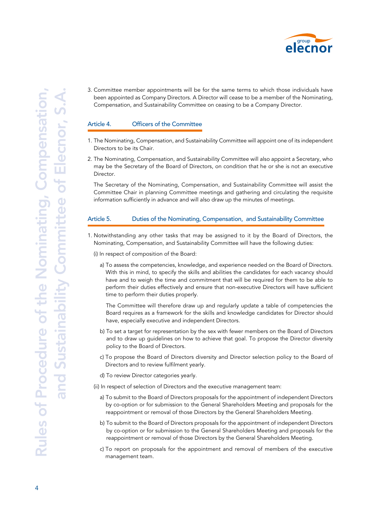

3. Committee member appointments will be for the same terms to which those individuals have been appointed as Company Directors. A Director will cease to be a member of the Nominating, Compensation, and Sustainability Committee on ceasing to be a Company Director.

### Article 4. Officers of the Committee

- 1. The Nominating, Compensation, and Sustainability Committee will appoint one of its independent Directors to be its Chair.
- 2. The Nominating, Compensation, and Sustainability Committee will also appoint a Secretary, who may be the Secretary of the Board of Directors, on condition that he or she is not an executive Director.

The Secretary of the Nominating, Compensation, and Sustainability Committee will assist the Committee Chair in planning Committee meetings and gathering and circulating the requisite information sufficiently in advance and will also draw up the minutes of meetings.

#### Article 5. Duties of the Nominating, Compensation, and Sustainability Committee

- 1. Notwithstanding any other tasks that may be assigned to it by the Board of Directors, the Nominating, Compensation, and Sustainability Committee will have the following duties:
	- (i) In respect of composition of the Board:
		- a) To assess the competencies, knowledge, and experience needed on the Board of Directors. With this in mind, to specify the skills and abilities the candidates for each vacancy should have and to weigh the time and commitment that will be required for them to be able to perform their duties effectively and ensure that non-executive Directors will have sufficient time to perform their duties properly.

The Committee will therefore draw up and regularly update a table of competencies the Board requires as a framework for the skills and knowledge candidates for Director should have, especially executive and independent Directors.

- b) To set a target for representation by the sex with fewer members on the Board of Directors and to draw up guidelines on how to achieve that goal. To propose the Director diversity policy to the Board of Directors.
- c) To propose the Board of Directors diversity and Director selection policy to the Board of Directors and to review fulfilment yearly.
- d) To review Director categories yearly.

(ii) In respect of selection of Directors and the executive management team:

- a) To submit to the Board of Directors proposals for the appointment of independent Directors by co-option or for submission to the General Shareholders Meeting and proposals for the reappointment or removal of those Directors by the General Shareholders Meeting.
- b) To submit to the Board of Directors proposals for the appointment of independent Directors by co-option or for submission to the General Shareholders Meeting and proposals for the reappointment or removal of those Directors by the General Shareholders Meeting.
- c) To report on proposals for the appointment and removal of members of the executive management team.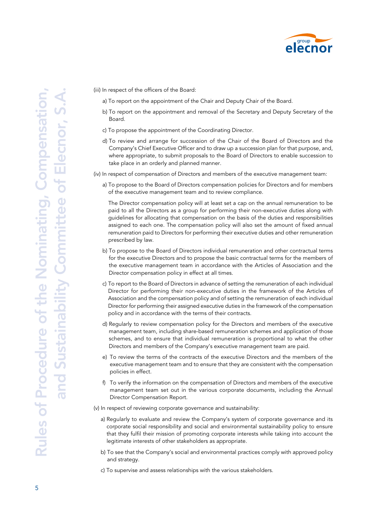

(iii) In respect of the officers of the Board:

- a) To report on the appointment of the Chair and Deputy Chair of the Board.
- b) To report on the appointment and removal of the Secretary and Deputy Secretary of the Board.
- c) To propose the appointment of the Coordinating Director.
- d) To review and arrange for succession of the Chair of the Board of Directors and the Company's Chief Executive Officer and to draw up a succession plan for that purpose, and, where appropriate, to submit proposals to the Board of Directors to enable succession to take place in an orderly and planned manner.

(iv) In respect of compensation of Directors and members of the executive management team:

a) To propose to the Board of Directors compensation policies for Directors and for members of the executive management team and to review compliance.

The Director compensation policy will at least set a cap on the annual remuneration to be paid to all the Directors as a group for performing their non-executive duties along with guidelines for allocating that compensation on the basis of the duties and responsibilities assigned to each one. The compensation policy will also set the amount of fixed annual remuneration paid to Directors for performing their executive duties and other remuneration prescribed by law.

- b) To propose to the Board of Directors individual remuneration and other contractual terms for the executive Directors and to propose the basic contractual terms for the members of the executive management team in accordance with the Articles of Association and the Director compensation policy in effect at all times.
- c) To report to the Board of Directors in advance of setting the remuneration of each individual Director for performing their non-executive duties in the framework of the Articles of Association and the compensation policy and of setting the remuneration of each individual Director for performing their assigned executive duties in the framework of the compensation policy and in accordance with the terms of their contracts.
- d) Regularly to review compensation policy for the Directors and members of the executive management team, including share-based remuneration schemes and application of those schemes, and to ensure that individual remuneration is proportional to what the other Directors and members of the Company's executive management team are paid.
- e) To review the terms of the contracts of the executive Directors and the members of the executive management team and to ensure that they are consistent with the compensation policies in effect.
- f) To verify the information on the compensation of Directors and members of the executive management team set out in the various corporate documents, including the Annual Director Compensation Report.
- (v) In respect of reviewing corporate governance and sustainability:
	- a) Regularly to evaluate and review the Company's system of corporate governance and its corporate social responsibility and social and environmental sustainability policy to ensure that they fulfil their mission of promoting corporate interests while taking into account the legitimate interests of other stakeholders as appropriate.
	- b) To see that the Company's social and environmental practices comply with approved policy and strategy.
	- c) To supervise and assess relationships with the various stakeholders.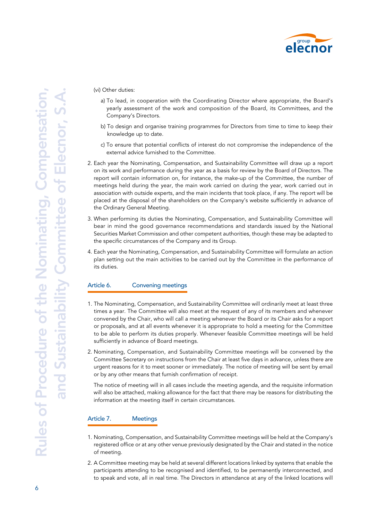

(vi) Other duties:

- a) To lead, in cooperation with the Coordinating Director where appropriate, the Board's yearly assessment of the work and composition of the Board, its Committees, and the Company's Directors.
- b) To design and organise training programmes for Directors from time to time to keep their knowledge up to date.
- c) To ensure that potential conflicts of interest do not compromise the independence of the external advice furnished to the Committee.
- 2. Each year the Nominating, Compensation, and Sustainability Committee will draw up a report on its work and performance during the year as a basis for review by the Board of Directors. The report will contain information on, for instance, the make-up of the Committee, the number of meetings held during the year, the main work carried on during the year, work carried out in association with outside experts, and the main incidents that took place, if any. The report will be placed at the disposal of the shareholders on the Company's website sufficiently in advance of the Ordinary General Meeting.
- 3. When performing its duties the Nominating, Compensation, and Sustainability Committee will bear in mind the good governance recommendations and standards issued by the National Securities Market Commission and other competent authorities, though these may be adapted to the specific circumstances of the Company and its Group.
- 4. Each year the Nominating, Compensation, and Sustainability Committee will formulate an action plan setting out the main activities to be carried out by the Committee in the performance of its duties.

# Article 6. Convening meetings

- 1. The Nominating, Compensation, and Sustainability Committee will ordinarily meet at least three times a year. The Committee will also meet at the request of any of its members and whenever convened by the Chair, who will call a meeting whenever the Board or its Chair asks for a report or proposals, and at all events whenever it is appropriate to hold a meeting for the Committee to be able to perform its duties properly. Whenever feasible Committee meetings will be held sufficiently in advance of Board meetings.
- 2. Nominating, Compensation, and Sustainability Committee meetings will be convened by the Committee Secretary on instructions from the Chair at least five days in advance, unless there are urgent reasons for it to meet sooner or immediately. The notice of meeting will be sent by email or by any other means that furnish confirmation of receipt.

The notice of meeting will in all cases include the meeting agenda, and the requisite information will also be attached, making allowance for the fact that there may be reasons for distributing the information at the meeting itself in certain circumstances.

#### Article 7. Meetings

- 1. Nominating, Compensation, and Sustainability Committee meetings will be held at the Company's registered office or at any other venue previously designated by the Chair and stated in the notice of meeting.
- 2. A Committee meeting may be held at several different locations linked by systems that enable the participants attending to be recognised and identified, to be permanently interconnected, and to speak and vote, all in real time. The Directors in attendance at any of the linked locations will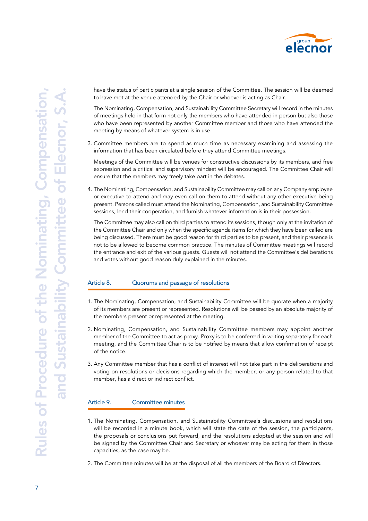

have the status of participants at a single session of the Committee. The session will be deemed to have met at the venue attended by the Chair or whoever is acting as Chair.

The Nominating, Compensation, and Sustainability Committee Secretary will record in the minutes of meetings held in that form not only the members who have attended in person but also those who have been represented by another Committee member and those who have attended the meeting by means of whatever system is in use.

3. Committee members are to spend as much time as necessary examining and assessing the information that has been circulated before they attend Committee meetings.

Meetings of the Committee will be venues for constructive discussions by its members, and free expression and a critical and supervisory mindset will be encouraged. The Committee Chair will ensure that the members may freely take part in the debates.

4. The Nominating, Compensation, and Sustainability Committee may call on any Company employee or executive to attend and may even call on them to attend without any other executive being present. Persons called must attend the Nominating, Compensation, and Sustainability Committee sessions, lend their cooperation, and furnish whatever information is in their possession.

The Committee may also call on third parties to attend its sessions, though only at the invitation of the Committee Chair and only when the specific agenda items for which they have been called are being discussed. There must be good reason for third parties to be present, and their presence is not to be allowed to become common practice. The minutes of Committee meetings will record the entrance and exit of the various guests. Guests will not attend the Committee's deliberations and votes without good reason duly explained in the minutes.

# Article 8. Cuorums and passage of resolutions

- 1. The Nominating, Compensation, and Sustainability Committee will be quorate when a majority of its members are present or represented. Resolutions will be passed by an absolute majority of the members present or represented at the meeting.
- 2. Nominating, Compensation, and Sustainability Committee members may appoint another member of the Committee to act as proxy. Proxy is to be conferred in writing separately for each meeting, and the Committee Chair is to be notified by means that allow confirmation of receipt of the notice.
- 3. Any Committee member that has a conflict of interest will not take part in the deliberations and voting on resolutions or decisions regarding which the member, or any person related to that member, has a direct or indirect conflict.

# Article 9. Committee minutes

- 1. The Nominating, Compensation, and Sustainability Committee's discussions and resolutions will be recorded in a minute book, which will state the date of the session, the participants, the proposals or conclusions put forward, and the resolutions adopted at the session and will be signed by the Committee Chair and Secretary or whoever may be acting for them in those capacities, as the case may be.
- 2. The Committee minutes will be at the disposal of all the members of the Board of Directors.